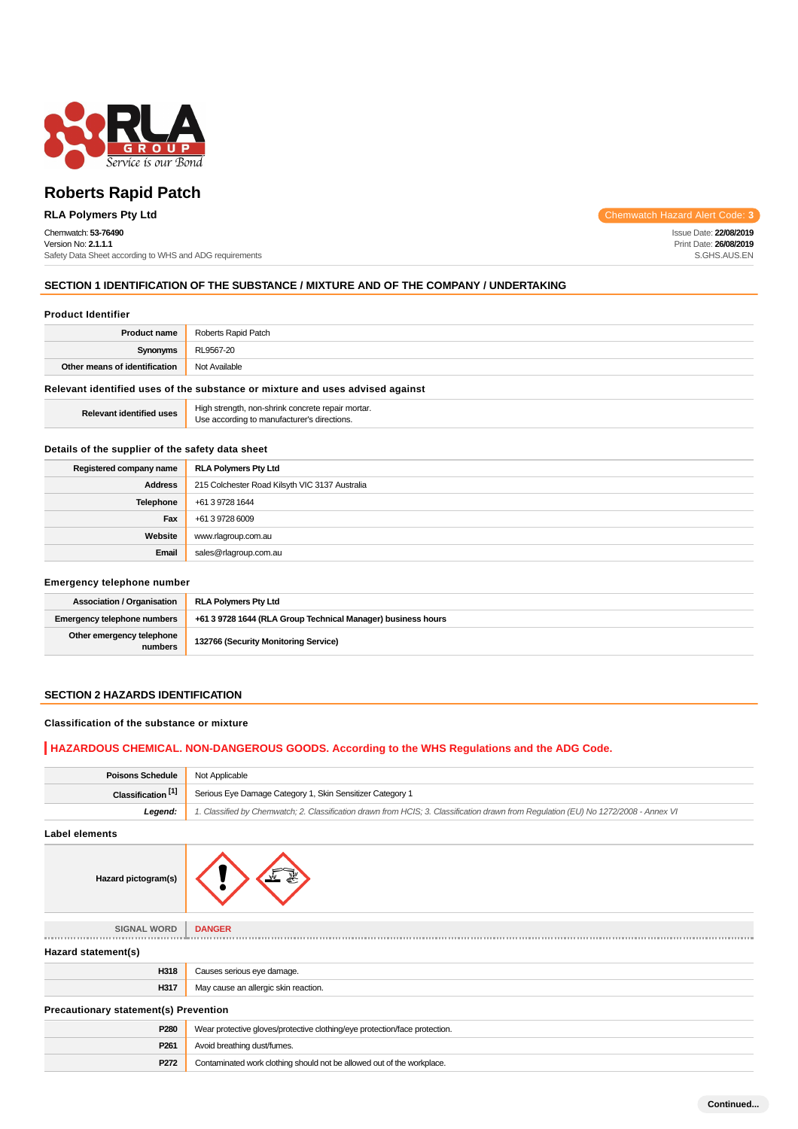

#### Chemwatch: **53-76490** Version No: **2.1.1.1**

Safety Data Sheet according to WHS and ADG requirements

**RLA Polymers Pty Ltd** Chemwatch Hazard Alert Code: 3

Issue Date: **22/08/2019** Print Date: **26/08/2019** S.GHS.AUS.EN

# **SECTION 1 IDENTIFICATION OF THE SUBSTANCE / MIXTURE AND OF THE COMPANY / UNDERTAKING**

#### **Product Identifier**

| <b>Product name</b>                                                           | Roberts Rapid Patch |
|-------------------------------------------------------------------------------|---------------------|
| Synonyms                                                                      | RL9567-20           |
| Other means of identification                                                 | Not Available       |
| Relevant identified uses of the substance or mixture and uses advised against |                     |

Relevant identified uses **High strength, non-shrink concrete repair mortar.**<br>Use according to manufacturer's directions.

# **Details of the supplier of the safety data sheet**

| Registered company name | <b>RLA Polymers Pty Ltd</b>                    |  |
|-------------------------|------------------------------------------------|--|
| <b>Address</b>          | 215 Colchester Road Kilsyth VIC 3137 Australia |  |
| Telephone               | +61 3 9728 1644                                |  |
| Fax                     | +61 3 9728 6009                                |  |
| Website                 | www.rlagroup.com.au                            |  |
| Email                   | sales@rlagroup.com.au                          |  |

#### **Emergency telephone number**

| <b>Association / Organisation</b>    | <b>RLA Polymers Pty Ltd</b>                                  |  |
|--------------------------------------|--------------------------------------------------------------|--|
| <b>Emergency telephone numbers</b>   | +61 3 9728 1644 (RLA Group Technical Manager) business hours |  |
| Other emergency telephone<br>numbers | 132766 (Security Monitoring Service)                         |  |

# **SECTION 2 HAZARDS IDENTIFICATION**

# **Classification of the substance or mixture**

# **HAZARDOUS CHEMICAL. NON-DANGEROUS GOODS. According to the WHS Regulations and the ADG Code.**

| <b>Poisons Schedule</b>                      | Not Applicable                                                                                                                      |  |
|----------------------------------------------|-------------------------------------------------------------------------------------------------------------------------------------|--|
| Classification <sup>[1]</sup>                | Serious Eye Damage Category 1, Skin Sensitizer Category 1                                                                           |  |
| Legend:                                      | 1. Classified by Chemwatch; 2. Classification drawn from HCIS; 3. Classification drawn from Regulation (EU) No 1272/2008 - Annex VI |  |
| <b>Label elements</b>                        |                                                                                                                                     |  |
| Hazard pictogram(s)                          |                                                                                                                                     |  |
| <b>SIGNAL WORD</b>                           | <b>DANGER</b>                                                                                                                       |  |
| Hazard statement(s)                          |                                                                                                                                     |  |
| H318                                         | Causes serious eye damage.                                                                                                          |  |
| H317                                         | May cause an allergic skin reaction.                                                                                                |  |
| <b>Precautionary statement(s) Prevention</b> |                                                                                                                                     |  |
| P280                                         | Wear protective gloves/protective clothing/eye protection/face protection.                                                          |  |
| P <sub>261</sub>                             | Avoid breathing dust/fumes.                                                                                                         |  |
| P272                                         | Contaminated work clothing should not be allowed out of the workplace.                                                              |  |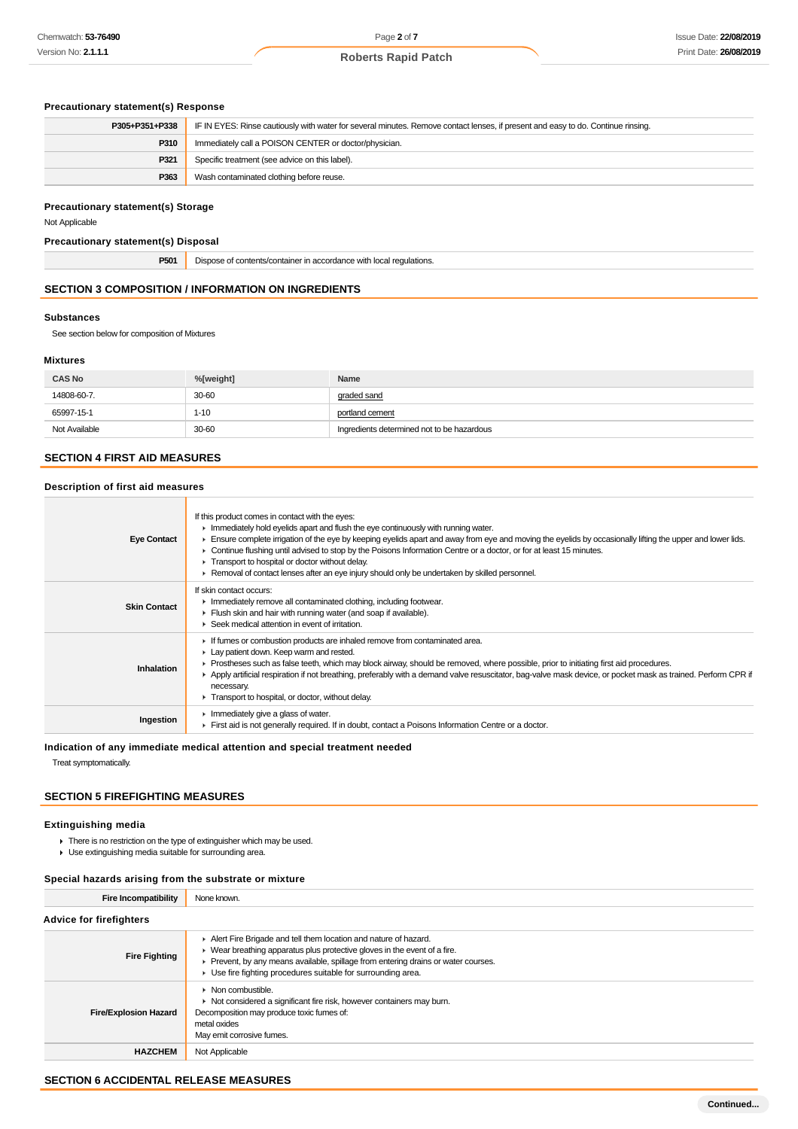# **Precautionary statement(s) Response**

| P305+P351+P338 | IF IN EYES: Rinse cautiously with water for several minutes. Remove contact lenses, if present and easy to do. Continue rinsing. |  |
|----------------|----------------------------------------------------------------------------------------------------------------------------------|--|
| P310           | Immediately call a POISON CENTER or doctor/physician.                                                                            |  |
| P321           | Specific treatment (see advice on this label).                                                                                   |  |
| P363           | Wash contaminated clothing before reuse.                                                                                         |  |

#### **Precautionary statement(s) Storage**

Not Applicable

# **Precautionary statement(s) Disposal**

**P501** Dispose of contents/container in accordance with local regulations.

# **SECTION 3 COMPOSITION / INFORMATION ON INGREDIENTS**

#### **Substances**

See section below for composition of Mixtures

#### **Mixtures**

| <b>CAS No</b> | %[weight] | Name                                       |
|---------------|-----------|--------------------------------------------|
| 14808-60-7.   | 30-60     | graded sand                                |
| 65997-15-1    | $1 - 10$  | portland cement                            |
| Not Available | 30-60     | Ingredients determined not to be hazardous |

# **SECTION 4 FIRST AID MEASURES**

# **Description of first aid measures**

| <b>Eye Contact</b>  | If this product comes in contact with the eyes:<br>$\blacktriangleright$ Immediately hold eyelids apart and flush the eye continuously with running water.<br>Ensure complete irrigation of the eye by keeping eyelids apart and away from eye and moving the eyelids by occasionally lifting the upper and lower lids.<br>► Continue flushing until advised to stop by the Poisons Information Centre or a doctor, or for at least 15 minutes.<br>Transport to hospital or doctor without delay.<br>Removal of contact lenses after an eye injury should only be undertaken by skilled personnel. |
|---------------------|----------------------------------------------------------------------------------------------------------------------------------------------------------------------------------------------------------------------------------------------------------------------------------------------------------------------------------------------------------------------------------------------------------------------------------------------------------------------------------------------------------------------------------------------------------------------------------------------------|
| <b>Skin Contact</b> | If skin contact occurs:<br>In mediately remove all contaminated clothing, including footwear.<br>Flush skin and hair with running water (and soap if available).<br>Seek medical attention in event of irritation.                                                                                                                                                                                                                                                                                                                                                                                 |
| Inhalation          | If fumes or combustion products are inhaled remove from contaminated area.<br>Lay patient down. Keep warm and rested.<br>► Prostheses such as false teeth, which may block airway, should be removed, where possible, prior to initiating first aid procedures.<br>▶ Apply artificial respiration if not breathing, preferably with a demand valve resuscitator, bag-valve mask device, or pocket mask as trained. Perform CPR if<br>necessary.<br>Transport to hospital, or doctor, without delay.                                                                                                |
| Ingestion           | Immediately give a glass of water.<br>First aid is not generally required. If in doubt, contact a Poisons Information Centre or a doctor.                                                                                                                                                                                                                                                                                                                                                                                                                                                          |

# **Indication of any immediate medical attention and special treatment needed**

Treat symptomatically.

# **SECTION 5 FIREFIGHTING MEASURES**

#### **Extinguishing media**

- **F** There is no restriction on the type of extinguisher which may be used.
- Use extinguishing media suitable for surrounding area.

# **Special hazards arising from the substrate or mixture**

| <b>Fire Incompatibility</b>    | None known.                                                                                                                                                                                                                                                                                                           |
|--------------------------------|-----------------------------------------------------------------------------------------------------------------------------------------------------------------------------------------------------------------------------------------------------------------------------------------------------------------------|
| <b>Advice for firefighters</b> |                                                                                                                                                                                                                                                                                                                       |
| <b>Fire Fighting</b>           | Alert Fire Brigade and tell them location and nature of hazard.<br>$\blacktriangleright$ Wear breathing apparatus plus protective gloves in the event of a fire.<br>Prevent, by any means available, spillage from entering drains or water courses.<br>▶ Use fire fighting procedures suitable for surrounding area. |
| <b>Fire/Explosion Hazard</b>   | $\triangleright$ Non combustible.<br>• Not considered a significant fire risk, however containers may burn.<br>Decomposition may produce toxic fumes of:<br>metal oxides<br>May emit corrosive fumes.                                                                                                                 |
| <b>HAZCHEM</b>                 | Not Applicable                                                                                                                                                                                                                                                                                                        |

# **SECTION 6 ACCIDENTAL RELEASE MEASURES**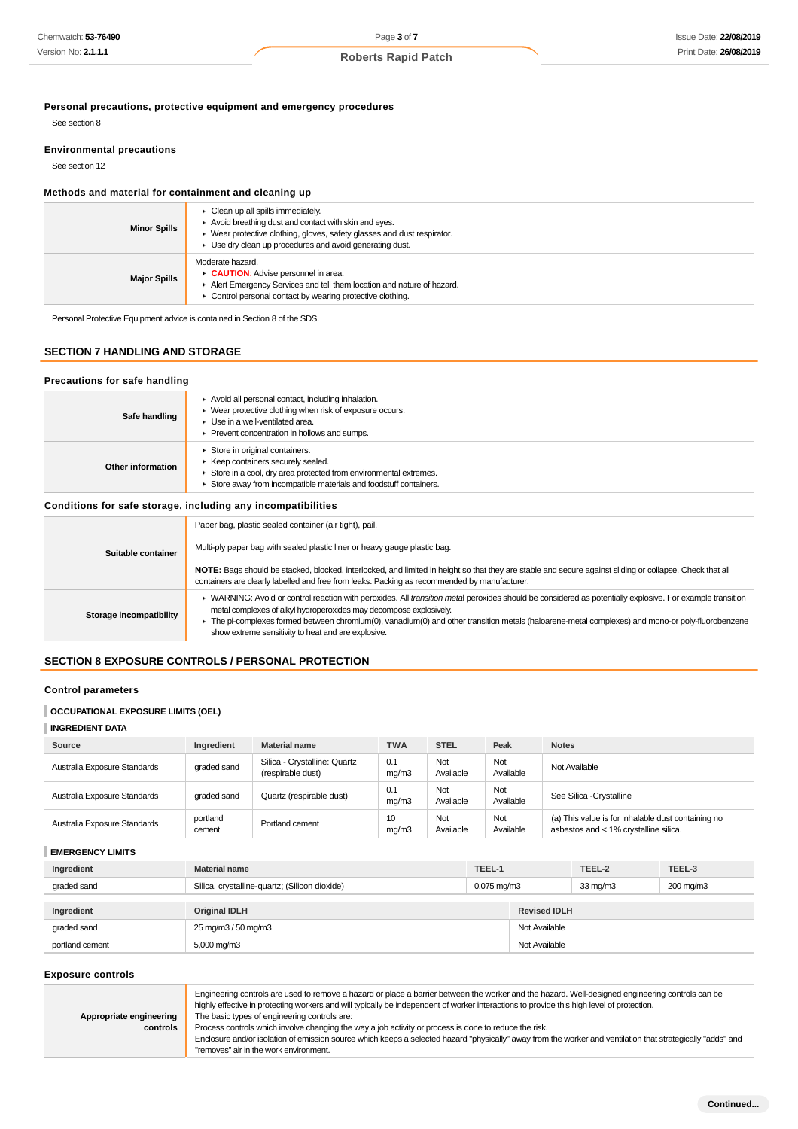**Personal precautions, protective equipment and emergency procedures**

See section 8

# **Environmental precautions**

See section 12

#### **Methods and material for containment and cleaning up**

| <b>Minor Spills</b> | • Clean up all spills immediately.<br>Avoid breathing dust and contact with skin and eyes.<br>▶ Wear protective clothing, gloves, safety glasses and dust respirator.<br>$\blacktriangleright$ Use dry clean up procedures and avoid generating dust. |
|---------------------|-------------------------------------------------------------------------------------------------------------------------------------------------------------------------------------------------------------------------------------------------------|
| <b>Major Spills</b> | Moderate hazard.<br><b>CAUTION:</b> Advise personnel in area.<br>Alert Emergency Services and tell them location and nature of hazard.<br>• Control personal contact by wearing protective clothing.                                                  |

Personal Protective Equipment advice is contained in Section 8 of the SDS.

# **SECTION 7 HANDLING AND STORAGE**

# **Precautions for safe handling**

| Safe handling     | Avoid all personal contact, including inhalation.<br>► Wear protective clothing when risk of exposure occurs.<br>$\blacktriangleright$ Use in a well-ventilated area.<br>Prevent concentration in hollows and sumps. |
|-------------------|----------------------------------------------------------------------------------------------------------------------------------------------------------------------------------------------------------------------|
| Other information | Store in original containers.<br>Keep containers securely sealed.<br>Store in a cool, dry area protected from environmental extremes.<br>Store away from incompatible materials and foodstuff containers.            |

# **Conditions for safe storage, including any incompatibilities**

|                         | Paper bag, plastic sealed container (air tight), pail.                                                                                                                                                                                                                                                                                                                                                                                    |
|-------------------------|-------------------------------------------------------------------------------------------------------------------------------------------------------------------------------------------------------------------------------------------------------------------------------------------------------------------------------------------------------------------------------------------------------------------------------------------|
| Suitable container      | Multi-ply paper bag with sealed plastic liner or heavy gauge plastic bag.                                                                                                                                                                                                                                                                                                                                                                 |
|                         | NOTE: Bags should be stacked, blocked, interlocked, and limited in height so that they are stable and secure against sliding or collapse. Check that all<br>containers are clearly labelled and free from leaks. Packing as recommended by manufacturer.                                                                                                                                                                                  |
| Storage incompatibility | ► WARNING: Avoid or control reaction with peroxides. All transition metal peroxides should be considered as potentially explosive. For example transition<br>metal complexes of alkyl hydroperoxides may decompose explosively.<br>The pi-complexes formed between chromium(0), vanadium(0) and other transition metals (haloarene-metal complexes) and mono-or poly-fluorobenzene<br>show extreme sensitivity to heat and are explosive. |
|                         |                                                                                                                                                                                                                                                                                                                                                                                                                                           |

# **SECTION 8 EXPOSURE CONTROLS / PERSONAL PROTECTION**

# **Control parameters**

# **OCCUPATIONAL EXPOSURE LIMITS (OEL)**

| <b>INGREDIENT DATA</b> |
|------------------------|
|------------------------|

| Source                       | Ingredient           | <b>Material name</b>                              | <b>TWA</b>   | <b>STEL</b>              | Peak   |                     | <b>Notes</b> |                                                                                             |        |
|------------------------------|----------------------|---------------------------------------------------|--------------|--------------------------|--------|---------------------|--------------|---------------------------------------------------------------------------------------------|--------|
| Australia Exposure Standards | graded sand          | Silica - Crystalline: Quartz<br>(respirable dust) | 0.1<br>mg/m3 | Not<br>Available         | Not    | Available           |              | Not Available                                                                               |        |
| Australia Exposure Standards | graded sand          | Quartz (respirable dust)                          | 0.1<br>mg/m3 | Not<br>Available         | Not    | Available           |              | See Silica - Crystalline                                                                    |        |
| Australia Exposure Standards | portland<br>cement   | Portland cement                                   | 10<br>mg/m3  | Not<br>Available         | Not    | Available           |              | (a) This value is for inhalable dust containing no<br>asbestos and < 1% crystalline silica. |        |
| <b>EMERGENCY LIMITS</b>      |                      |                                                   |              |                          |        |                     |              |                                                                                             |        |
| Ingredient                   | <b>Material name</b> |                                                   |              |                          | TEEL-1 |                     |              | TEEL-2                                                                                      | TEEL-3 |
| graded sand                  |                      | Silica, crystalline-quartz; (Silicon dioxide)     |              | $0.075 \,\mathrm{mq/m3}$ |        |                     | 33 mg/m3     | $200$ mg/m $3$                                                                              |        |
| Ingredient                   | <b>Original IDLH</b> |                                                   |              |                          |        | <b>Revised IDLH</b> |              |                                                                                             |        |
| graded sand                  |                      | 25 mg/m3 / 50 mg/m3                               |              |                          |        | Not Available       |              |                                                                                             |        |
| portland cement              | 5,000 mg/m3          |                                                   |              |                          |        | Not Available       |              |                                                                                             |        |

#### **Exposure controls**

**controls**

|                         | Engineering controls are used to remove a hazard or place a barrier between the worker and the hazard. Well-designed engineering controls can be |
|-------------------------|--------------------------------------------------------------------------------------------------------------------------------------------------|
|                         | highly effective in protecting workers and will typically be independent of worker interactions to provide this high level of protection.        |
| Appropriate engineering | The basic types of engineering controls are:                                                                                                     |

Process controls which involve changing the way a job activity or process is done to reduce the risk.

Enclosure and/or isolation of emission source which keeps a selected hazard "physically" away from the worker and ventilation that strategically "adds" and "removes" air in the work environment.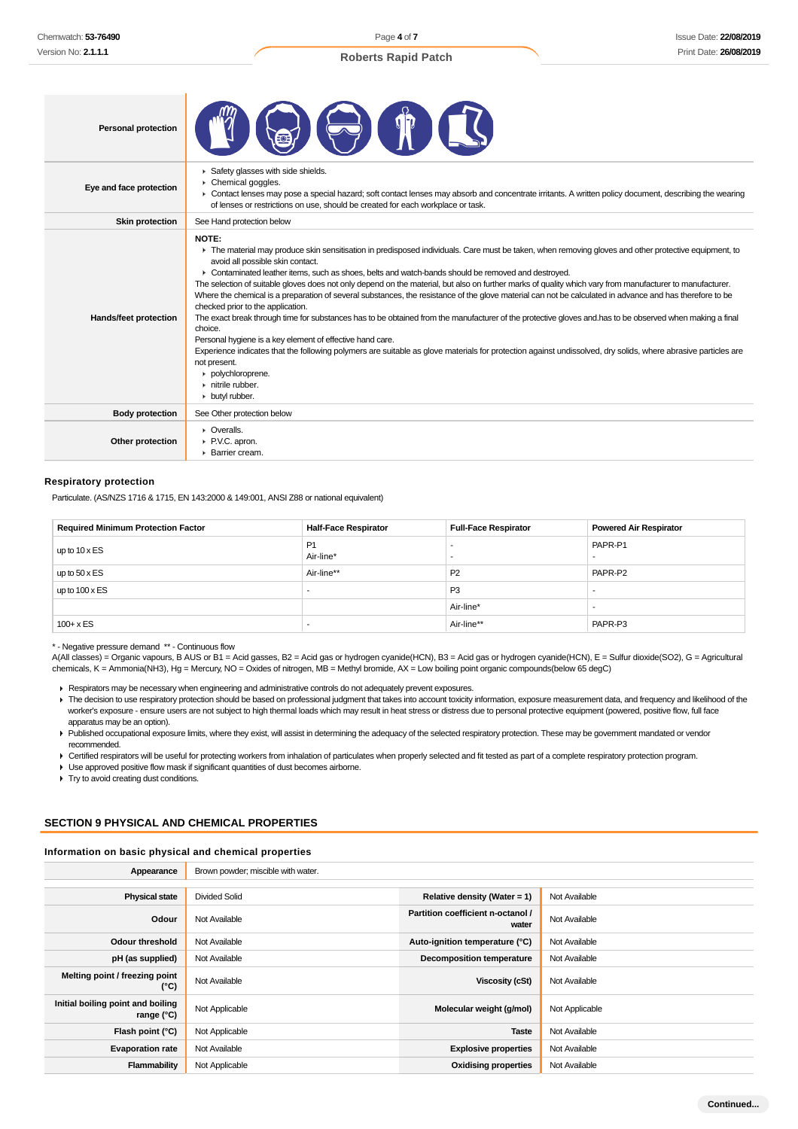Page **4** of **7**

# **Roberts Rapid Patch**

| <b>Personal protection</b> |                                                                                                                                                                                                                                                                                                                                                                                                                                                                                                                                                                                                                                                                                                                                                                                                                                                                                                                                                                                                                                                                                                                                                                     |
|----------------------------|---------------------------------------------------------------------------------------------------------------------------------------------------------------------------------------------------------------------------------------------------------------------------------------------------------------------------------------------------------------------------------------------------------------------------------------------------------------------------------------------------------------------------------------------------------------------------------------------------------------------------------------------------------------------------------------------------------------------------------------------------------------------------------------------------------------------------------------------------------------------------------------------------------------------------------------------------------------------------------------------------------------------------------------------------------------------------------------------------------------------------------------------------------------------|
| Eye and face protection    | Safety glasses with side shields.<br>Chemical goggles.<br>▶ Contact lenses may pose a special hazard; soft contact lenses may absorb and concentrate irritants. A written policy document, describing the wearing<br>of lenses or restrictions on use, should be created for each workplace or task.                                                                                                                                                                                                                                                                                                                                                                                                                                                                                                                                                                                                                                                                                                                                                                                                                                                                |
| <b>Skin protection</b>     | See Hand protection below                                                                                                                                                                                                                                                                                                                                                                                                                                                                                                                                                                                                                                                                                                                                                                                                                                                                                                                                                                                                                                                                                                                                           |
| Hands/feet protection      | NOTE:<br>The material may produce skin sensitisation in predisposed individuals. Care must be taken, when removing gloves and other protective equipment, to<br>avoid all possible skin contact.<br>► Contaminated leather items, such as shoes, belts and watch-bands should be removed and destroyed.<br>The selection of suitable gloves does not only depend on the material, but also on further marks of quality which vary from manufacturer to manufacturer.<br>Where the chemical is a preparation of several substances, the resistance of the glove material can not be calculated in advance and has therefore to be<br>checked prior to the application.<br>The exact break through time for substances has to be obtained from the manufacturer of the protective gloves and has to be observed when making a final<br>choice.<br>Personal hygiene is a key element of effective hand care.<br>Experience indicates that the following polymers are suitable as glove materials for protection against undissolved, dry solids, where abrasive particles are<br>not present.<br>polychloroprene.<br>$\triangleright$ nitrile rubber.<br>butyl rubber. |
| <b>Body protection</b>     | See Other protection below                                                                                                                                                                                                                                                                                                                                                                                                                                                                                                                                                                                                                                                                                                                                                                                                                                                                                                                                                                                                                                                                                                                                          |
| Other protection           | $\triangleright$ Overalls.<br>P.V.C. apron.<br>▶ Barrier cream.                                                                                                                                                                                                                                                                                                                                                                                                                                                                                                                                                                                                                                                                                                                                                                                                                                                                                                                                                                                                                                                                                                     |

# **Respiratory protection**

Particulate. (AS/NZS 1716 & 1715, EN 143:2000 & 149:001, ANSI Z88 or national equivalent)

| <b>Required Minimum Protection Factor</b> | <b>Half-Face Respirator</b> | <b>Full-Face Respirator</b> | <b>Powered Air Respirator</b> |
|-------------------------------------------|-----------------------------|-----------------------------|-------------------------------|
| up to $10 \times ES$                      | P <sub>1</sub><br>Air-line* |                             | PAPR-P1                       |
| up to $50 \times ES$                      | Air-line**                  | P <sub>2</sub>              | PAPR-P2                       |
| up to $100 \times ES$                     |                             | P <sub>3</sub>              |                               |
|                                           |                             | Air-line*                   |                               |
| $100 + x ES$                              |                             | Air-line**                  | PAPR-P3                       |

\* - Negative pressure demand \*\* - Continuous flow

A(All classes) = Organic vapours, B AUS or B1 = Acid gasses, B2 = Acid gas or hydrogen cyanide(HCN), B3 = Acid gas or hydrogen cyanide(HCN), E = Sulfur dioxide(SO2), G = Agricultural chemicals, K = Ammonia(NH3), Hg = Mercury, NO = Oxides of nitrogen, MB = Methyl bromide, AX = Low boiling point organic compounds(below 65 degC)

Respirators may be necessary when engineering and administrative controls do not adequately prevent exposures.

- The decision to use respiratory protection should be based on professional judgment that takes into account toxicity information, exposure measurement data, and frequency and likelihood of the worker's exposure - ensure users are not subject to high thermal loads which may result in heat stress or distress due to personal protective equipment (powered, positive flow, full face apparatus may be an option).
- Published occupational exposure limits, where they exist, will assist in determining the adequacy of the selected respiratory protection. These may be government mandated or vendor recommended.

▶ Certified respirators will be useful for protecting workers from inhalation of particulates when properly selected and fit tested as part of a complete respiratory protection program.

Use approved positive flow mask if significant quantities of dust becomes airborne.

**Try to avoid creating dust conditions.** 

# **SECTION 9 PHYSICAL AND CHEMICAL PROPERTIES**

#### **Information on basic physical and chemical properties**

| Appearance                                        | Brown powder; miscible with water. |                                            |                |
|---------------------------------------------------|------------------------------------|--------------------------------------------|----------------|
|                                                   |                                    |                                            |                |
| <b>Physical state</b>                             | <b>Divided Solid</b>               | Relative density (Water = $1$ )            | Not Available  |
| Odour                                             | Not Available                      | Partition coefficient n-octanol /<br>water | Not Available  |
| Odour threshold                                   | Not Available                      | Auto-ignition temperature (°C)             | Not Available  |
| pH (as supplied)                                  | Not Available                      | <b>Decomposition temperature</b>           | Not Available  |
| Melting point / freezing point<br>(°C)            | Not Available                      | Viscosity (cSt)                            | Not Available  |
| Initial boiling point and boiling<br>range $(°C)$ | Not Applicable                     | Molecular weight (g/mol)                   | Not Applicable |
| Flash point $(°C)$                                | Not Applicable                     | <b>Taste</b>                               | Not Available  |
| <b>Evaporation rate</b>                           | Not Available                      | <b>Explosive properties</b>                | Not Available  |
| Flammability                                      | Not Applicable                     | <b>Oxidising properties</b>                | Not Available  |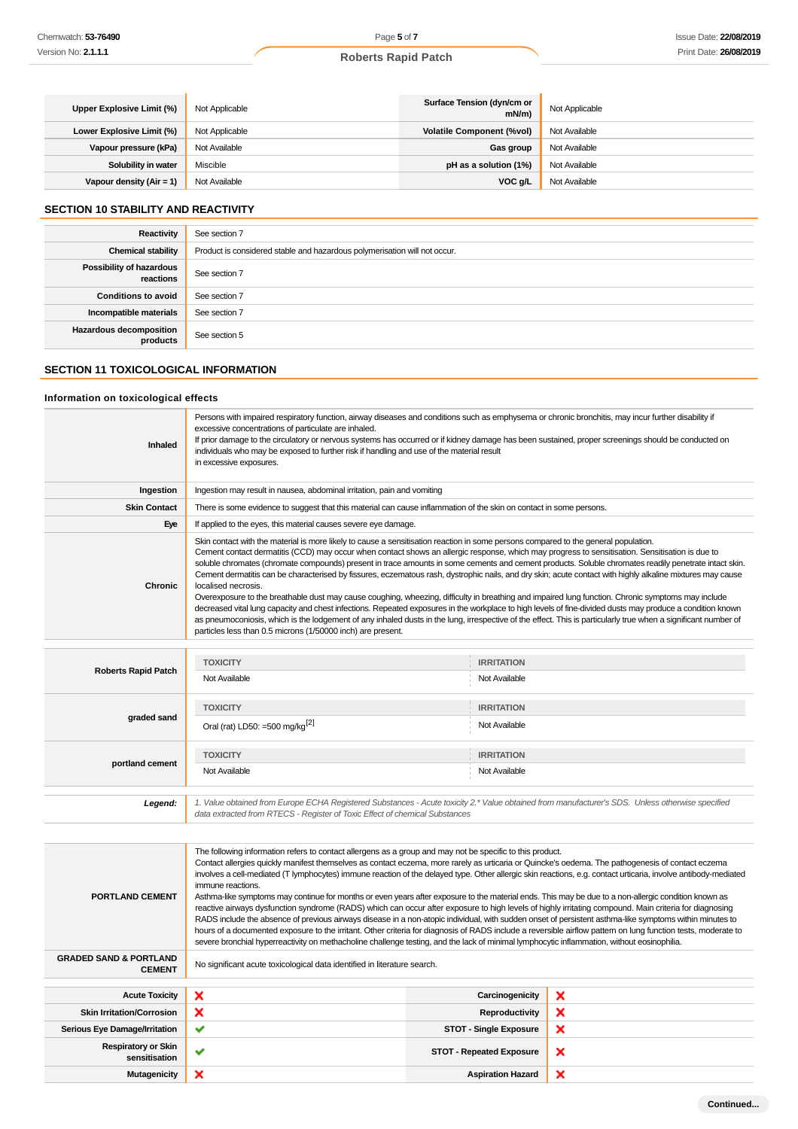| Upper Explosive Limit (%)  | Not Applicable | Surface Tension (dyn/cm or<br>$mN/m$ ) | Not Applicable |
|----------------------------|----------------|----------------------------------------|----------------|
| Lower Explosive Limit (%)  | Not Applicable | <b>Volatile Component (%vol)</b>       | Not Available  |
| Vapour pressure (kPa)      | Not Available  | Gas group                              | Not Available  |
| Solubility in water        | Miscible       | pH as a solution (1%)                  | Not Available  |
| Vapour density $(Air = 1)$ | Not Available  | VOC g/L                                | Not Available  |

# **SECTION 10 STABILITY AND REACTIVITY**

| Reactivity                            | See section 7                                                             |
|---------------------------------------|---------------------------------------------------------------------------|
| <b>Chemical stability</b>             | Product is considered stable and hazardous polymerisation will not occur. |
| Possibility of hazardous<br>reactions | See section 7                                                             |
| <b>Conditions to avoid</b>            | See section 7                                                             |
| Incompatible materials                | See section 7                                                             |
| Hazardous decomposition<br>products   | See section 5                                                             |

# **SECTION 11 TOXICOLOGICAL INFORMATION**

#### **Information on toxicological effects**

| Inhaled             | Persons with impaired respiratory function, airway diseases and conditions such as emphysema or chronic bronchitis, may incur further disability if<br>excessive concentrations of particulate are inhaled.<br>If prior damage to the circulatory or nervous systems has occurred or if kidney damage has been sustained, proper screenings should be conducted on<br>individuals who may be exposed to further risk if handling and use of the material result<br>in excessive exposures.                                                                                                                                                                                                                                                                                                                                                                                                                                                                                                                                                                                                                                                                                                |
|---------------------|-------------------------------------------------------------------------------------------------------------------------------------------------------------------------------------------------------------------------------------------------------------------------------------------------------------------------------------------------------------------------------------------------------------------------------------------------------------------------------------------------------------------------------------------------------------------------------------------------------------------------------------------------------------------------------------------------------------------------------------------------------------------------------------------------------------------------------------------------------------------------------------------------------------------------------------------------------------------------------------------------------------------------------------------------------------------------------------------------------------------------------------------------------------------------------------------|
| Ingestion           | Ingestion may result in nausea, abdominal irritation, pain and vomiting                                                                                                                                                                                                                                                                                                                                                                                                                                                                                                                                                                                                                                                                                                                                                                                                                                                                                                                                                                                                                                                                                                                   |
| <b>Skin Contact</b> | There is some evidence to suggest that this material can cause inflammation of the skin on contact in some persons.                                                                                                                                                                                                                                                                                                                                                                                                                                                                                                                                                                                                                                                                                                                                                                                                                                                                                                                                                                                                                                                                       |
| Eye                 | If applied to the eyes, this material causes severe eye damage.                                                                                                                                                                                                                                                                                                                                                                                                                                                                                                                                                                                                                                                                                                                                                                                                                                                                                                                                                                                                                                                                                                                           |
| <b>Chronic</b>      | Skin contact with the material is more likely to cause a sensitisation reaction in some persons compared to the general population.<br>Cement contact dermatitis (CCD) may occur when contact shows an allergic response, which may progress to sensitisation. Sensitisation is due to<br>soluble chromates (chromate compounds) present in trace amounts in some cements and cement products. Soluble chromates readily penetrate intact skin.<br>Cement dermatitis can be characterised by fissures, eczematous rash, dystrophic nails, and dry skin; acute contact with highly alkaline mixtures may cause<br>localised necrosis.<br>Overexposure to the breathable dust may cause coughing, wheezing, difficulty in breathing and impaired lung function. Chronic symptoms may include<br>decreased vital lung capacity and chest infections. Repeated exposures in the workplace to high levels of fine-divided dusts may produce a condition known<br>as pneumoconiosis, which is the lodgement of any inhaled dusts in the lung, irrespective of the effect. This is particularly true when a significant number of<br>particles less than 0.5 microns (1/50000 inch) are present. |
|                     | $m = 0.55$ and $m = 0.5$<br><b>I do you have a ment and it is</b>                                                                                                                                                                                                                                                                                                                                                                                                                                                                                                                                                                                                                                                                                                                                                                                                                                                                                                                                                                                                                                                                                                                         |

|                            | <b>TOXICITY</b>                                                                                                                                                                                                                 | <b>IRRITATION</b> |
|----------------------------|---------------------------------------------------------------------------------------------------------------------------------------------------------------------------------------------------------------------------------|-------------------|
| <b>Roberts Rapid Patch</b> | Not Available                                                                                                                                                                                                                   | Not Available     |
|                            | <b>TOXICITY</b>                                                                                                                                                                                                                 | <b>IRRITATION</b> |
| graded sand                | Oral (rat) LD50: =500 mg/kg <sup>[2]</sup>                                                                                                                                                                                      | Not Available     |
|                            | <b>TOXICITY</b>                                                                                                                                                                                                                 | <b>IRRITATION</b> |
| portland cement            | Not Available                                                                                                                                                                                                                   | Not Available     |
|                            |                                                                                                                                                                                                                                 |                   |
| Legend:                    | 1. Value obtained from Europe ECHA Registered Substances - Acute toxicity 2.* Value obtained from manufacturer's SDS. Unless otherwise specified<br>data extracted from RTECS - Register of Toxic Effect of chemical Substances |                   |

The following information refers to contact allergens as a group and may not be specific to this product. Contact allergies quickly manifest themselves as contact eczema, more rarely as urticaria or Quincke's oedema. The pathogenesis of contact eczema involves a cell-mediated (T lymphocytes) immune reaction of the delayed type. Other allergic skin reactions, e.g. contact urticaria, involve antibody-mediated immune reactions. **PORTLAND CEMENT** Asthma-like symptoms may continue for months or even years after exposure to the material ends. This may be due to a non-allergic condition known as reactive airways dysfunction syndrome (RADS) which can occur after exposure to high levels of highly irritating compound. Main criteria for diagnosing RADS include the absence of previous airways disease in a non-atopic individual, with sudden onset of persistent asthma-like symptoms within minutes to hours of a documented exposure to the irritant. Other criteria for diagnosis of RADS include a reversible airflow pattern on lung function tests, moderate to severe bronchial hyperreactivity on methacholine challenge testing, and the lack of minimal lymphocytic inflammation, without eosinophilia. **GRADED SAND & PORTLAND CEMENT** No significant acute toxicological data identified in literature search. Acute Toxicity **X** Carcinogenicity  $\boldsymbol{\mathsf{x}}$ **Skin Irritation/Corrosion X Reproductivity** × × Serious Eye Damage/Irritation **STOT** - Single Exposure **Respiratory or Skin sensitisation** ◆ **STOT - Repeated Exposure**<br> **STOT - Repeated Exposure**  $\boldsymbol{\mathsf{x}}$  $\boldsymbol{\mathsf{x}}$ **Mutagenicity X Aspiration Hazard**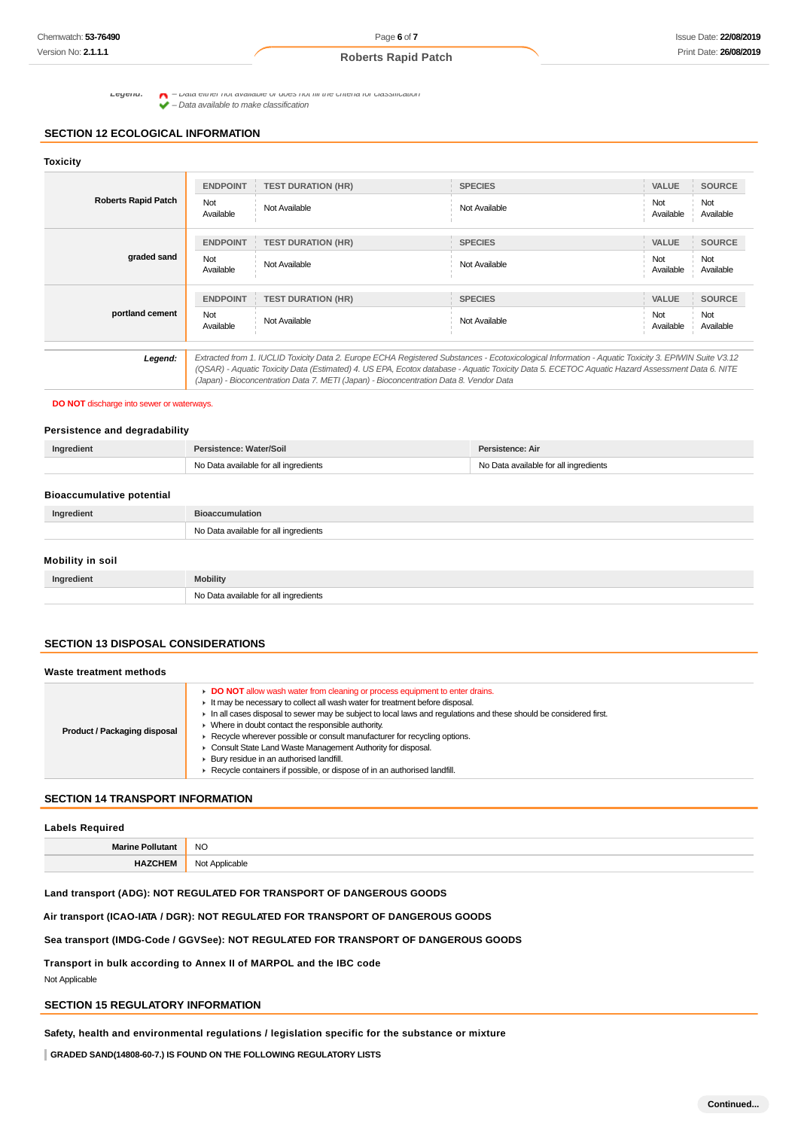Legena:  $\bigcap$  - Data either not available or does not fill the criteria for classification  $\bullet$  –  $\nu$ ata entrer not available to make classification<br>  $\bullet$  – Data available to make classification

# **SECTION 12 ECOLOGICAL INFORMATION**

# **Toxicity**

| <b>Roberts Rapid Patch</b> | <b>ENDPOINT</b><br>Not<br>Available | <b>TEST DURATION (HR)</b><br>Not Available                                             | <b>SPECIES</b><br>Not Available                                                                                                                                                                                                                                                                       | <b>VALUE</b><br>Not<br>Available | <b>SOURCE</b><br>Not<br>Available |
|----------------------------|-------------------------------------|----------------------------------------------------------------------------------------|-------------------------------------------------------------------------------------------------------------------------------------------------------------------------------------------------------------------------------------------------------------------------------------------------------|----------------------------------|-----------------------------------|
|                            | <b>ENDPOINT</b>                     | <b>TEST DURATION (HR)</b>                                                              | <b>SPECIES</b>                                                                                                                                                                                                                                                                                        | <b>VALUE</b>                     | <b>SOURCE</b>                     |
| graded sand                | Not<br>Available                    | Not Available                                                                          | Not Available                                                                                                                                                                                                                                                                                         | Not<br>Available                 | Not<br>Available                  |
|                            | <b>ENDPOINT</b>                     | <b>TEST DURATION (HR)</b>                                                              | <b>SPECIES</b>                                                                                                                                                                                                                                                                                        | <b>VALUE</b>                     | <b>SOURCE</b>                     |
| portland cement            | Not<br>Available                    | Not Available                                                                          | Not Available                                                                                                                                                                                                                                                                                         | Not<br>Available                 | Not<br>Available                  |
| Legend:                    |                                     | (Japan) - Bioconcentration Data 7. METI (Japan) - Bioconcentration Data 8. Vendor Data | Extracted from 1. IUCLID Toxicity Data 2. Europe ECHA Registered Substances - Ecotoxicological Information - Aquatic Toxicity 3. EPIWIN Suite V3.12<br>(QSAR) - Aquatic Toxicity Data (Estimated) 4. US EPA, Ecotox database - Aquatic Toxicity Data 5. ECETOC Aquatic Hazard Assessment Data 6. NITE |                                  |                                   |

#### **DO NOT** discharge into sewer or waterways.

#### **Persistence and degradability**

| No Data available for all ingredients<br>No Data available for all ingredients | Ingredient | sistence: Water/Soil | Persistence: Air |
|--------------------------------------------------------------------------------|------------|----------------------|------------------|
|                                                                                |            |                      |                  |

| <b>Bioaccumulative potential</b> |                                       |
|----------------------------------|---------------------------------------|
| Ingredient                       | <b>Bioaccumulation</b>                |
|                                  | No Data available for all ingredients |
| Mobility in soil                 |                                       |

| Ingredient | <b>Mobility</b>                       |
|------------|---------------------------------------|
|            | No Data available for all ingredients |

# **SECTION 13 DISPOSAL CONSIDERATIONS**

| Waste treatment methods      |                                                                                                                                                                                                                                                                                                                                                                                                                                                                                                                                                                                                           |  |  |  |
|------------------------------|-----------------------------------------------------------------------------------------------------------------------------------------------------------------------------------------------------------------------------------------------------------------------------------------------------------------------------------------------------------------------------------------------------------------------------------------------------------------------------------------------------------------------------------------------------------------------------------------------------------|--|--|--|
| Product / Packaging disposal | DO NOT allow wash water from cleaning or process equipment to enter drains.<br>It may be necessary to collect all wash water for treatment before disposal.<br>In all cases disposal to sewer may be subject to local laws and requlations and these should be considered first.<br>Where in doubt contact the responsible authority.<br>► Recycle wherever possible or consult manufacturer for recycling options.<br>Consult State Land Waste Management Authority for disposal.<br>Bury residue in an authorised landfill.<br>Recycle containers if possible, or dispose of in an authorised landfill. |  |  |  |

# **SECTION 14 TRANSPORT INFORMATION**

# **Labels Required**

**Marine Pollutant** NO **HAZCHEM** Not Applicable

# **Land transport (ADG): NOT REGULATED FOR TRANSPORT OF DANGEROUS GOODS**

# **Air transport (ICAO-IATA / DGR): NOT REGULATED FOR TRANSPORT OF DANGEROUS GOODS**

#### **Sea transport (IMDG-Code / GGVSee): NOT REGULATED FOR TRANSPORT OF DANGEROUS GOODS**

**Transport in bulk according to Annex II of MARPOL and the IBC code**

Not Applicable

# **SECTION 15 REGULATORY INFORMATION**

**Safety, health and environmental regulations / legislation specific for the substance or mixture**

**GRADED SAND(14808-60-7.) IS FOUND ON THE FOLLOWING REGULATORY LISTS**